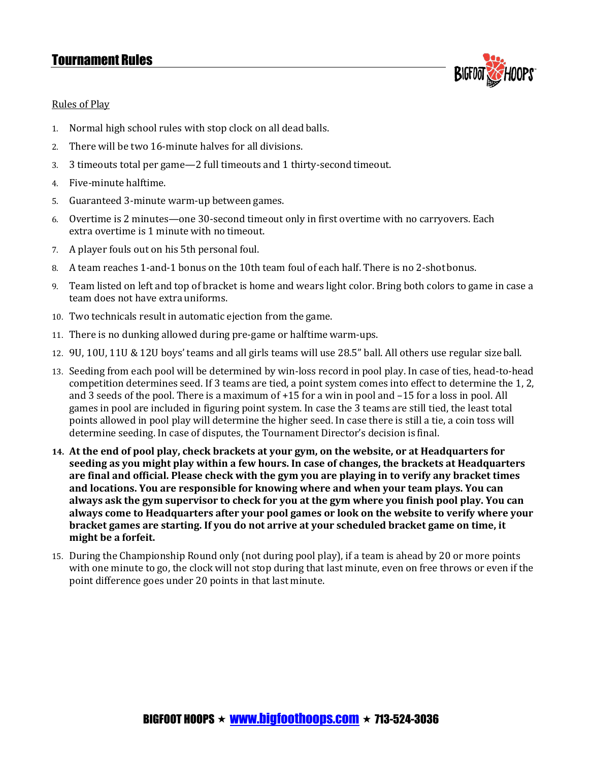## Tournament Rules



### Rules of Play

- 1. Normal high school rules with stop clock on all dead balls.
- 2. There will be two 16-minute halves for all divisions.
- 3. 3 timeouts total per game—2 full timeouts and 1 thirty-second timeout.
- 4. Five-minute halftime.
- 5. Guaranteed 3-minute warm-up between games.
- 6. Overtime is 2 minutes—one 30-second timeout only in first overtime with no carryovers. Each extra overtime is 1 minute with no timeout.
- 7. A player fouls out on his 5th personal foul.
- 8. A team reaches 1-and-1 bonus on the 10th team foul of each half. There is no 2-shotbonus.
- 9. Team listed on left and top of bracket is home and wears light color. Bring both colors to game in case a team does not have extra uniforms.
- 10. Two technicals result in automatic ejection from the game.
- 11. There is no dunking allowed during pre-game or halftime warm-ups.
- 12. 9U, 10U, 11U & 12U boys' teams and all girls teams will use 28.5" ball. All others use regular sizeball.
- 13. Seeding from each pool will be determined by win-loss record in pool play. In case of ties, head-to-head competition determines seed. If 3 teams are tied, a point system comes into effect to determine the 1, 2, and 3 seeds of the pool. There is a maximum of +15 for a win in pool and –15 for a loss in pool. All games in pool are included in figuring point system. In case the 3 teams are still tied, the least total points allowed in pool play will determine the higher seed. In case there is still a tie, a coin toss will determine seeding. In case of disputes, the Tournament Director's decision is final.
- **14. At the end of pool play, check brackets at your gym, on the website, or at Headquarters for seeding as you might play within a few hours. In case of changes, the brackets at Headquarters are final and official. Please check with the gym you are playing in to verify any bracket times and locations. You are responsible for knowing where and when your team plays. You can always ask the gym supervisor to check for you at the gym where you finish pool play. You can always come to Headquarters after your pool games or look on the website to verify where your bracket games are starting. If you do not arrive at your scheduled bracket game on time, it might be a forfeit.**
- 15. During the Championship Round only (not during pool play), if a team is ahead by 20 or more points with one minute to go, the clock will not stop during that last minute, even on free throws or even if the point difference goes under 20 points in that last minute.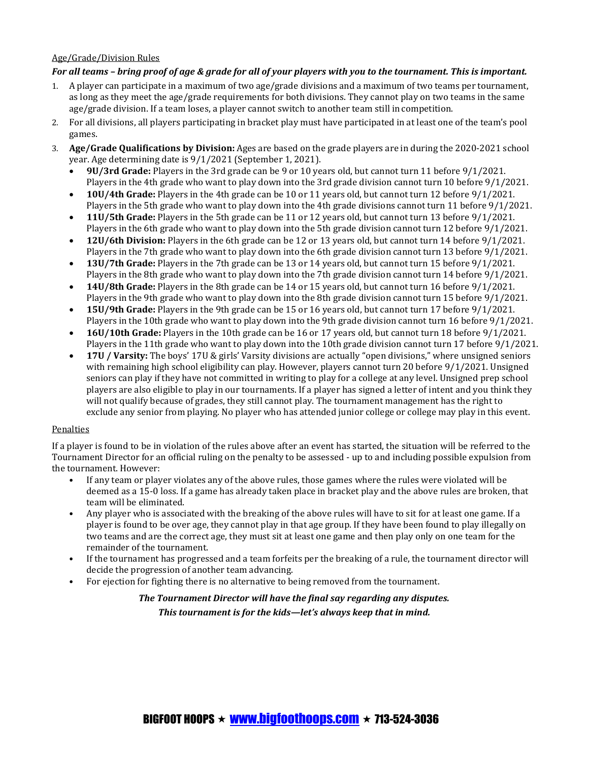#### Age/Grade/Division Rules

#### *For all teams – bring proof of age & grade for all of your players with you to the tournament. This is important.*

- 1. A player can participate in a maximum of two age/grade divisions and a maximum of two teams per tournament, as long as they meet the age/grade requirements for both divisions. They cannot play on two teams in the same age/grade division. If a team loses, a player cannot switch to another team still incompetition.
- 2. For all divisions, all players participating in bracket play must have participated in at least one of the team's pool games.
- 3. **Age/Grade Qualifications by Division:** Ages are based on the grade players are in during the 2020-2021 school year. Age determining date is 9/1/2021 (September 1, 2021).
	- **9U/3rd Grade:** Players in the 3rd grade can be 9 or 10 years old, but cannot turn 11 before 9/1/2021. Players in the 4th grade who want to play down into the 3rd grade division cannot turn 10 before 9/1/2021.
	- **10U/4th Grade:** Players in the 4th grade can be 10 or 11 years old, but cannot turn 12 before 9/1/2021. Players in the 5th grade who want to play down into the 4th grade divisions cannot turn 11 before 9/1/2021.
	- **11U/5th Grade:** Players in the 5th grade can be 11 or 12 years old, but cannot turn 13 before 9/1/2021. Players in the 6th grade who want to play down into the 5th grade division cannot turn 12 before 9/1/2021.
	- **12U/6th Division:** Players in the 6th grade can be 12 or 13 years old, but cannot turn 14 before 9/1/2021. Players in the 7th grade who want to play down into the 6th grade division cannot turn 13 before 9/1/2021.
	- **13U/7th Grade:** Players in the 7th grade can be 13 or 14 years old, but cannot turn 15 before 9/1/2021. Players in the 8th grade who want to play down into the 7th grade division cannot turn 14 before 9/1/2021.
	- **14U/8th Grade:** Players in the 8th grade can be 14 or 15 years old, but cannot turn 16 before 9/1/2021. Players in the 9th grade who want to play down into the 8th grade division cannot turn 15 before 9/1/2021.
	- **15U/9th Grade:** Players in the 9th grade can be 15 or 16 years old, but cannot turn 17 before 9/1/2021. Players in the 10th grade who want to play down into the 9th grade division cannot turn 16 before 9/1/2021.
	- **16U/10th Grade:** Players in the 10th grade can be 16 or 17 years old, but cannot turn 18 before 9/1/2021. Players in the 11th grade who want to play down into the 10th grade division cannot turn 17 before 9/1/2021.
	- **17U / Varsity:** The boys' 17U & girls' Varsity divisions are actually "open divisions," where unsigned seniors with remaining high school eligibility can play. However, players cannot turn 20 before 9/1/2021. Unsigned seniors can play if they have not committed in writing to play for a college at any level. Unsigned prep school players are also eligible to play in our tournaments. If a player has signed a letter of intent and you think they will not qualify because of grades, they still cannot play. The tournament management has the right to exclude any senior from playing. No player who has attended junior college or college may play in this event.

#### **Penalties**

If a player is found to be in violation of the rules above after an event has started, the situation will be referred to the Tournament Director for an official ruling on the penalty to be assessed - up to and including possible expulsion from the tournament. However:

- If any team or player violates any of the above rules, those games where the rules were violated will be deemed as a 15-0 loss. If a game has already taken place in bracket play and the above rules are broken, that team will be eliminated.
- Any player who is associated with the breaking of the above rules will have to sit for at least one game. If a player is found to be over age, they cannot play in that age group. If they have been found to play illegally on two teams and are the correct age, they must sit at least one game and then play only on one team for the remainder of the tournament.
- If the tournament has progressed and a team forfeits per the breaking of a rule, the tournament director will decide the progression of another team advancing.
- For ejection for fighting there is no alternative to being removed from the tournament.

### *The Tournament Director will have the final say regarding any disputes. This tournament is for the kids—let's always keep that in mind.*